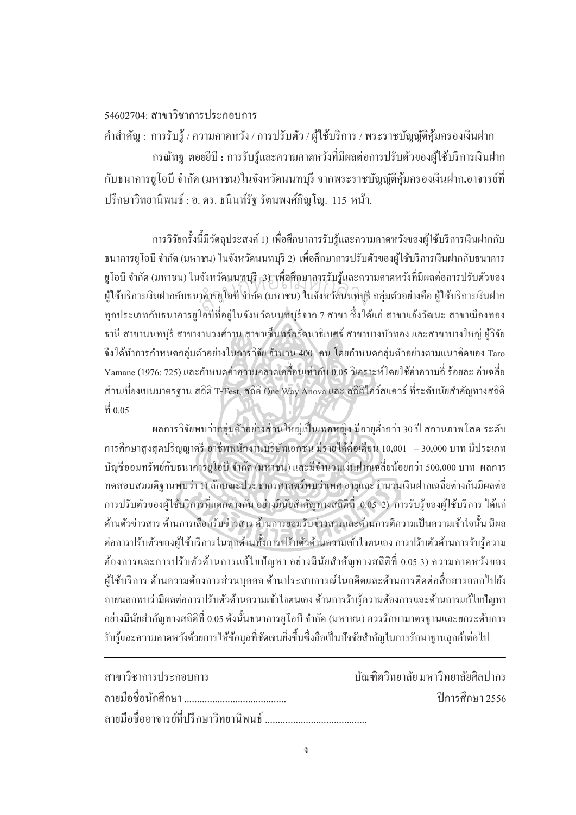## $54602704 \cdot \alpha$ าขาวิชาการประกอบการ

 $\overline{a}$ 

คำสำคัญ : การรับรู้ / ความคาดหวัง / การปรับตัว / ผู้ใช้บริการ / พระราชบัญญัติคุ้มครองเงินฝาก

ำรณัทฐ ตอยยีบี : การรับรู้และความคาดหวังที่มีผลต่อการปรับตัวของผู้ใช้บริการเงินฝาก ้ กับธนาคารยูโอบี จำกัด (มหาชน)ในจังหวัดนนทบุรี จากพระราชบัญญัติคุ้มครองเงินฝาก**.**อาจารย์ที่ ูปรึกษาวิทยานิพนธ์ : อ. คร. ธนินท์รัฐ รัตนพงศ์ภิญโญ. 115 หน้า.

การวิจัยครั้งนี้มีวัตถุประสงค์ 1) เพื่อศึกษาการรับรู้และความคาดหวังของผู้ใช้บริการเงินฝากกับ ºÉ ธนาคารยูโอบี จำกัด (มหาชน) ในจังหวัดนนทบุรี 2) เพื่อศึกษาการปรับตัวของผู้ใช้บริการเงินฝากกับธนาคาร ยูโอบี จำกัด (มหาชน) ในจังหวัดนนทบุรี 3) เพื่อศึกษาการรับรู้และความคาดหวังที่มีผลต่อการปรับตัวของ ºÉ ผู้ใช้บริการเงินฝากกับธนาคารยูโอบี จำกัด (มหาชน) ในจังหวัดนนทบุรี กลุ่มตัวอย่างคือ ผู้ใช้บริการเงินฝาก ทุกประเภทกับธนาคารยูโอบีที่อยู่ในจังหวัดนนทบรีจาก 7 สาขา ซึ่งได้แก่ สาขาแจ้งวัฒนะ สาขาเมืองทอง ึ ธานี สาขานนทบรี สาขางามวงศ์วาน สาขาเซ็นทรัลรัตนาธิเบศธ์ สาขาบางบัวทอง และสาขาบางใหญ่ ผ้วิจัย จึงได้ทำการกำหนดกลุ่มตัวอย่างในการวิจัย จำนวน 400 `คน โดยกำหนดกลุ่มตัวอย่างตามแนวกิดของ Taro Yamane (1976: 725) และกำหนดค่ำความคลาดเคลื่อนเท่ากับ 0.05 วิเคราะห์โดยใช้ค่าความถี่ ร้อยละ ค่าเฉลี่ย ºÉ ส่วนเบี่ยงเบนมาตรฐาน สถิติ T-Test, สถิติ One Way Anova และ สถิติไคว์สแควร์ ที่ระดับนัยสำคัญทางสถิติ ∫  $\vec{\mathfrak{n}}$  0.05 สำนกัหอส<sup>ม</sup> ุดกลา<sup>ง</sup>

้ ผลการวิจัยพบว่ากลุ่มตัวอย่างส่วนใหญ่เป็นเพศหญิง มีอายุต่ำกว่า 30 ปี สถานภาพโสค ระดับ การศึกษาสูงสุดปริญญาตรี อาชีพพนักงานบริษัทเอกชน มีรายได้ต่อเดือน 10,001 – 30,000 บาท มีประเภท บัญชีออมทรัพย์กับธนาคารยูโอบี จำกัด (มหาชน) และมีจำนวนเงินฝากเฉลี่ยน้อยกว่า 500,000 บาท ผลการ ทดสอบสมมติฐานพบว่า 1) ลักษณะประชากรศาสตร์พบว่าเพศ อายุและจำนวนเงินฝากเฉลี่ยต่างกันมีผลต่อ การปรับตัวของผู้ใช้บริการที่แตกต่างกัน อย่างมีนัยสำคัญทางสถิติที่ 0.05 2) การรับรู้ของผู้ใช้บริการ ได้แก่ │ ด้านตัวข่าวสาร ด้านการเลือกรับข่าวสาร ด้านการยอมรับข่าวสารและด้านการตีความเป็นความเข้าใจนั้น มีผล ต่อการปรับตัวของผู้ใช้บริการในทุกด้านทั้งการปรับตัวด้านความเข้าใจตนเอง การปรับตัวด้านการรับรู้ความ ด้องการและการปรับตัวด้านการแก้ไขปัญหา อย่างมีนัยสำคัญทางสถิติที่ 0.05 3) ความคาดหวังของ ผู้ใช้บริการ ด้านความต้องการส่วนบุคคล ด้านประสบการณ์ในอดีตและด้านการติดต่อสื่อสารออกไปยัง ึ ภายนอกพบว่ามีผลต่อการปรับตัวด้านความเข้าใจตนเอง ด้านการรับร้ความต้องการและด้านการแก้ไขปัญหา ือย่างมีนัยสำคัญทางสถิติที่ 0.05 ดังนั้นธนาคารยูโอบี จำกัด (มหาชน) ควรรักษามาตรฐานและยกระดับการ รับรู้และความคาดหวังด้วยการให้ข้อมูลที่ชัดเจนยิ่งขึ้นซึ่งถือเป็นปัจจัยสำคัญในการรักษาฐานลูกค้าต่อไป ¹É

| สาขาวิชาการประกอบการ | ้ บัณฑิตวิทยาลัย มหาวิทยาลัยศิลปากร |
|----------------------|-------------------------------------|
|                      | ์ ปีการศึกษา 2556                   |
|                      |                                     |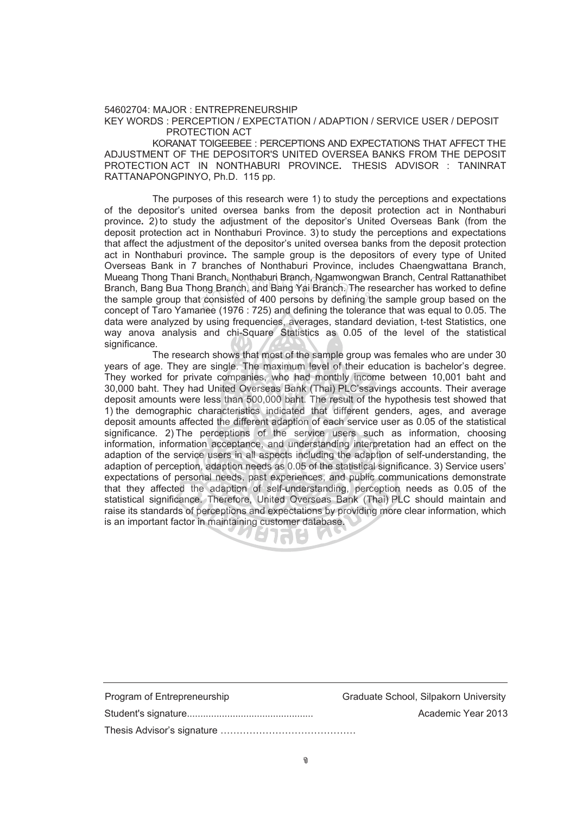54602704: MAJOR : ENTREPRENEURSHIP KEY WORDS : PERCEPTION / EXPECTATION / ADAPTION / SERVICE USER / DEPOSIT PROTECTION ACT

KORANAT TOIGEEBEE : PERCEPTIONS AND EXPECTATIONS THAT AFFECT THE ADJUSTMENT OF THE DEPOSITOR'S UNITED OVERSEA BANKS FROM THE DEPOSIT PROTECTION ACT IN NONTHABURI PROVINCE**.** THESIS ADVISOR : TANINRAT RATTANAPONGPINYO, Ph.D. 115 pp.

The purposes of this research were 1) to study the perceptions and expectations of the depositor's united oversea banks from the deposit protection act in Nonthaburi province**.** 2) to study the adjustment of the depositor's United Overseas Bank (from the deposit protection act in Nonthaburi Province. 3) to study the perceptions and expectations that affect the adjustment of the depositor's united oversea banks from the deposit protection act in Nonthaburi province**.** The sample group is the depositors of every type of United Overseas Bank in 7 branches of Nonthaburi Province, includes Chaengwattana Branch, Mueang Thong Thani Branch, Nonthaburi Branch, Ngamwongwan Branch, Central Rattanathibet Branch, Bang Bua Thong Branch, and Bang Yai Branch. The researcher has worked to define the sample group that consisted of 400 persons by defining the sample group based on the concept of Taro Yamanee (1976 : 725) and defining the tolerance that was equal to 0.05. The data were analyzed by using frequencies, averages, standard deviation, t-test Statistics, one way anova analysis and chi-Square Statistics as 0.05 of the level of the statistical significance. Branch, Nonthaburi Branch, Ngamwongw<br>ong Branch, and Bang Yai Branch. The r<br>t consisted of 400 persons by defining i<br>anee (1976 : 725) and defining the tolera

 The research shows that most of the sample group was females who are under 30 years of age. They are single. The maximum level of their education is bachelor's degree. They worked for private companies, who had monthly income between 10,001 baht and 30,000 baht. They had United Overseas Bank (Thai) PLC'ssavings accounts. Their average deposit amounts were less than 500,000 baht. The result of the hypothesis test showed that 1) the demographic characteristics indicated that different genders, ages, and average deposit amounts affected the different adaption of each service user as 0.05 of the statistical significance. 2) The perceptions of the service users such as information, choosing information, information acceptance, and understanding interpretation had an effect on the adaption of the service users in all aspects including the adaption of self-understanding, the adaption of perception, adaption needs as 0.05 of the statistical significance. 3) Service users' expectations of personal needs, past experiences, and public communications demonstrate that they affected the adaption of self-understanding, perception needs as 0.05 of the statistical significance. Therefore, United Overseas Bank (Thai) PLC should maintain and raise its standards of perceptions and expectations by providing more clear information, which is an important factor in maintaining customer database.

| Program of Entrepreneurship | Graduate School, Silpakorn University |
|-----------------------------|---------------------------------------|
|                             | Academic Year 2013                    |
|                             |                                       |